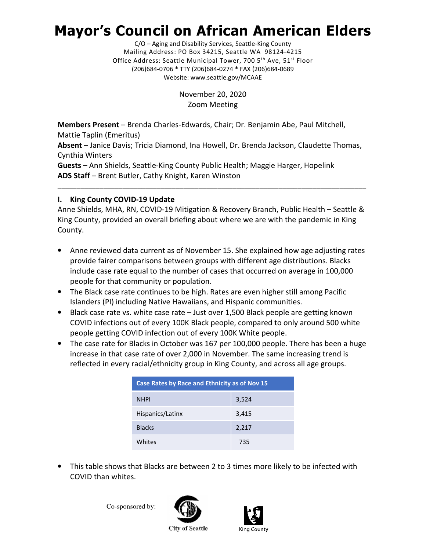# Mayor's Council on African American Elders

C/O – Aging and Disability Services, Seattle-King County Mailing Address: PO Box 34215, Seattle WA 98124-4215 Office Address: Seattle Municipal Tower, 700 5<sup>th</sup> Ave, 51<sup>st</sup> Floor (206)684-0706 \* TTY (206)684-0274 \* FAX (206)684-0689 Website: <www.seattle.gov/MCAAE>

> November 20, 2020 Zoom Meeting

Members Present – Brenda Charles-Edwards, Chair; Dr. Benjamin Abe, Paul Mitchell, Mattie Taplin (Emeritus)

Absent - Janice Davis; Tricia Diamond, Ina Howell, Dr. Brenda Jackson, Claudette Thomas, Cynthia Winters

Guests - Ann Shields, Seattle-King County Public Health; Maggie Harger, Hopelink ADS Staff - Brent Butler, Cathy Knight, Karen Winston

# I. King County COVID-19 Update

Anne Shields, MHA, RN, COVID-19 Mitigation & Recovery Branch, Public Health – Seattle & King County, provided an overall briefing about where we are with the pandemic in King County.

\_\_\_\_\_\_\_\_\_\_\_\_\_\_\_\_\_\_\_\_\_\_\_\_\_\_\_\_\_\_\_\_\_\_\_\_\_\_\_\_\_\_\_\_\_\_\_\_\_\_\_\_\_\_\_\_\_\_\_\_\_\_\_\_\_\_\_\_\_\_\_\_\_\_\_\_\_\_\_\_\_

- Anne reviewed data current as of November 15. She explained how age adjusting rates provide fairer comparisons between groups with different age distributions. Blacks include case rate equal to the number of cases that occurred on average in 100,000 people for that community or population. e<br>e
- The Black case rate continues to be high. Rates are even higher still among Pacific Islanders (PI) including Native Hawaiians, and Hispanic communities.
- Black case rate vs. white case rate Just over 1,500 Black people are getting known COVID infections out of every 100K Black people, compared to only around 500 white people getting COVID infection out of every 100K White people.
- The case rate for Blacks in October was 167 per 100,000 people. There has been a huge increase in that case rate of over 2,000 in November. The same increasing trend is reflected in every racial/ethnicity group in King County, and across all age groups.

| Case Rates by Race and Ethnicity as of Nov 15 |       |  |
|-----------------------------------------------|-------|--|
| <b>NHPI</b>                                   | 3,524 |  |
| Hispanics/Latinx                              | 3,415 |  |
| <b>Blacks</b>                                 | 2,217 |  |
| Whites                                        | 735   |  |

 • This table shows that Blacks are between 2 to 3 times more likely to be infected with COVID than whites.

Co-sponsored by:



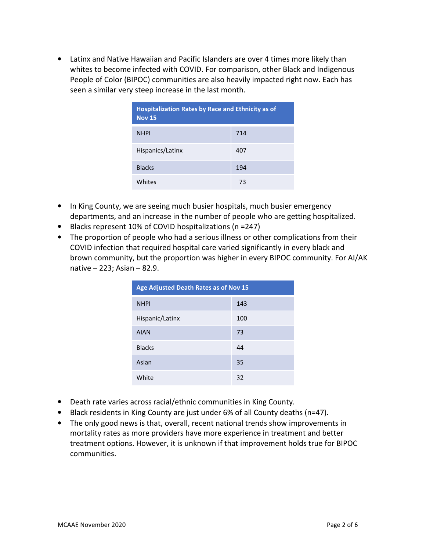• Latinx and Native Hawaiian and Pacific Islanders are over 4 times more likely than whites to become infected with COVID. For comparison, other Black and Indigenous People of Color (BIPOC) communities are also heavily impacted right now. Each has seen a similar very steep increase in the last month.

| <b>Hospitalization Rates by Race and Ethnicity as of</b><br><b>Nov 15</b> |     |  |
|---------------------------------------------------------------------------|-----|--|
| <b>NHPI</b>                                                               | 714 |  |
| Hispanics/Latinx                                                          | 407 |  |
| <b>Blacks</b>                                                             | 194 |  |
| Whites                                                                    | 73  |  |

- In King County, we are seeing much busier hospitals, much busier emergency departments, and an increase in the number of people who are getting hospitalized.
- Blacks represent 10% of COVID hospitalizations (n =247)
- The proportion of people who had a serious illness or other complications from their COVID infection that required hospital care varied significantly in every black and brown community, but the proportion was higher in every BIPOC community. For AI/AK native – 223; Asian – 82.9.

| Age Adjusted Death Rates as of Nov 15 |     |  |
|---------------------------------------|-----|--|
| <b>NHPI</b>                           | 143 |  |
| Hispanic/Latinx                       | 100 |  |
| <b>AIAN</b>                           | 73  |  |
| <b>Blacks</b>                         | 44  |  |
| Asian                                 | 35  |  |
| White                                 | 32  |  |

- Death rate varies across racial/ethnic communities in King County.
- Black residents in King County are just under 6% of all County deaths (n=47).
- • The only good news is that, overall, recent national trends show improvements in mortality rates as more providers have more experience in treatment and better treatment options. However, it is unknown if that improvement holds true for BIPOC communities. communities.<br>MCAAE November 2020<br>Page 2 of 6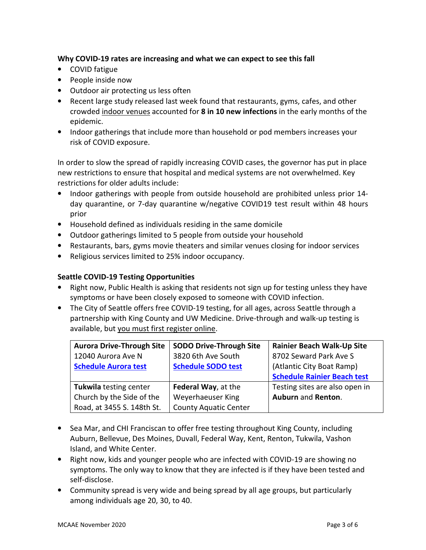## Why COVID-19 rates are increasing and what we can expect to see this fall

- COVID fatigue
- People inside now
- Outdoor air protecting us less often
- • Recent large study released last week found that restaurants, gyms, cafes, and other crowded indoor venues accounted for 8 in 10 new infections in the early months of the epidemic.
- • Indoor gatherings that include more than household or pod members increases your risk of COVID exposure.

 In order to slow the spread of rapidly increasing COVID cases, the governor has put in place new restrictions to ensure that hospital and medical systems are not overwhelmed. Key restrictions for older adults include:

- • Indoor gatherings with people from outside household are prohibited unless prior 14- day quarantine, or 7-day quarantine w/negative COVID19 test result within 48 hours prior
- Household defined as individuals residing in the same domicile
- Outdoor gatherings limited to 5 people from outside your household
- Restaurants, bars, gyms movie theaters and similar venues closing for indoor services
- Religious services limited to 25% indoor occupancy.

# Seattle COVID-19 Testing Opportunities

- • Right now, Public Health is asking that residents not sign up for testing unless they have symptoms or have been closely exposed to someone with COVID infection.
- • The City of Seattle offers free COVID-19 testing, for all ages, across Seattle through a partnership with King County and UW Medicine. Drive-through and walk-up testing is available, but you must first register online.

| <b>Aurora Drive-Through Site</b> | <b>SODO Drive-Through Site</b> | Rainier Beach Walk-Up Site         |
|----------------------------------|--------------------------------|------------------------------------|
| 12040 Aurora Ave N               | 3820 6th Ave South             | 8702 Seward Park Ave S             |
| <b>Schedule Aurora test</b>      | <b>Schedule SODO test</b>      | (Atlantic City Boat Ramp)          |
|                                  |                                | <b>Schedule Rainier Beach test</b> |
| Tukwila testing center           | Federal Way, at the            | Testing sites are also open in     |
| Church by the Side of the        | Weyerhaeuser King              | Auburn and Renton.                 |
| Road, at 3455 S. 148th St.       | <b>County Aquatic Center</b>   |                                    |

- • Sea Mar, and CHI Franciscan to offer free testing throughout King County, including Auburn, Bellevue, Des Moines, Duvall, Federal Way, Kent, Renton, Tukwila, Vashon Island, and White Center.
- • Right now, kids and younger people who are infected with COVID-19 are showing no symptoms. The only way to know that they are infected is if they have been tested and self-disclose.
- • Community spread is very wide and being spread by all age groups, but particularly among individuals age 20, 30, to 40.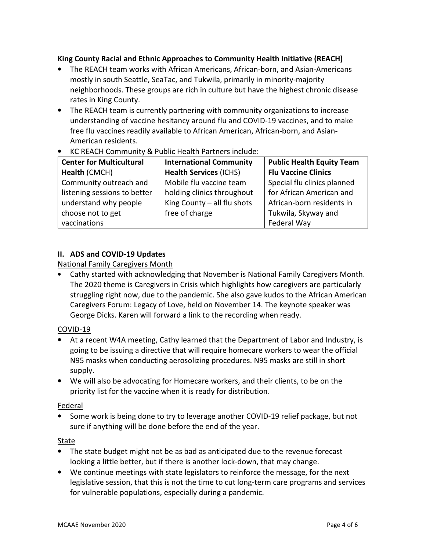# King County Racial and Ethnic Approaches to Community Health Initiative (REACH)

- • The REACH team works with African Americans, African-born, and Asian-Americans mostly in south Seattle, SeaTac, and Tukwila, primarily in minority-majority neighborhoods. These groups are rich in culture but have the highest chronic disease rates in King County.
- • The REACH team is currently partnering with community organizations to increase understanding of vaccine hesitancy around flu and COVID-19 vaccines, and to make free flu vaccines readily available to African American, African-born, and Asian-American residents.
- KC REACH Community & Public Health Partners include:

| <b>Center for Multicultural</b> | <b>International Community</b> | <b>Public Health Equity Team</b> |
|---------------------------------|--------------------------------|----------------------------------|
| Health (CMCH)                   | <b>Health Services (ICHS)</b>  | <b>Flu Vaccine Clinics</b>       |
| Community outreach and          | Mobile flu vaccine team        | Special flu clinics planned      |
| listening sessions to better    | holding clinics throughout     | for African American and         |
| understand why people           | King County - all flu shots    | African-born residents in        |
| choose not to get               | free of charge                 | Tukwila, Skyway and              |
| vaccinations                    |                                | Federal Way                      |

### II. ADS and COVID-19 Updates

National Family Caregivers Month

 • Cathy started with acknowledging that November is National Family Caregivers Month. The 2020 theme is Caregivers in Crisis which highlights how caregivers are particularly struggling right now, due to the pandemic. She also gave kudos to the African American Caregivers Forum: Legacy of Love, held on November 14. The keynote speaker was George Dicks. Karen will forward a link to the recording when ready.

# COVID-19

- • At a recent W4A meeting, Cathy learned that the Department of Labor and Industry, is going to be issuing a directive that will require homecare workers to wear the official N95 masks when conducting aerosolizing procedures. N95 masks are still in short supply.
- • We will also be advocating for Homecare workers, and their clients, to be on the priority list for the vaccine when it is ready for distribution.

#### Federal

 • Some work is being done to try to leverage another COVID-19 relief package, but not sure if anything will be done before the end of the year.

#### State

- • The state budget might not be as bad as anticipated due to the revenue forecast looking a little better, but if there is another lock-down, that may change.
- • We continue meetings with state legislators to reinforce the message, for the next legislative session, that this is not the time to cut long-term care programs and services for vulnerable populations, especially during a pandemic.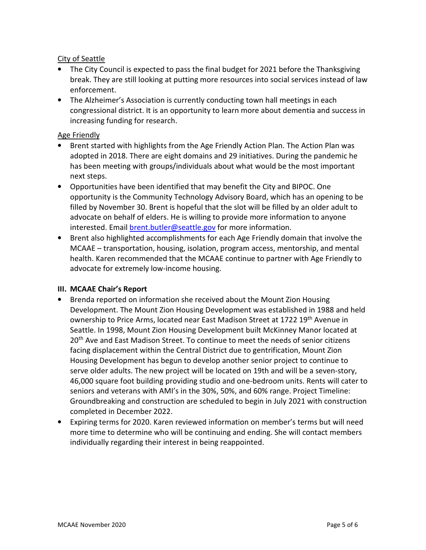## City of Seattle

- • The City Council is expected to pass the final budget for 2021 before the Thanksgiving break. They are still looking at putting more resources into social services instead of law enforcement.
- • The Alzheimer's Association is currently conducting town hall meetings in each congressional district. It is an opportunity to learn more about dementia and success in increasing funding for research.

## Age Friendly

- • Brent started with highlights from the Age Friendly Action Plan. The Action Plan was adopted in 2018. There are eight domains and 29 initiatives. During the pandemic he has been meeting with groups/individuals about what would be the most important next steps.
- • Opportunities have been identified that may benefit the City and BIPOC. One opportunity is the Community Technology Advisory Board, which has an opening to be filled by November 30. Brent is hopeful that the slot will be filled by an older adult to advocate on behalf of elders. He is willing to provide more information to anyone interested. Email [brent.butler@seattle.gov](mailto:brent.butler@seattle.gov) for more information.
- • Brent also highlighted accomplishments for each Age Friendly domain that involve the MCAAE – transportation, housing, isolation, program access, mentorship, and mental health. Karen recommended that the MCAAE continue to partner with Age Friendly to advocate for extremely low-income housing.

#### III. MCAAE Chair's Report

- • Brenda reported on information she received about the Mount Zion Housing Development. The Mount Zion Housing Development was established in 1988 and held ownership to Price Arms, located near East Madison Street at 1722 19<sup>th</sup> Avenue in Seattle. In 1998, Mount Zion Housing Development built McKinney Manor located at 20<sup>th</sup> Ave and East Madison Street. To continue to meet the needs of senior citizens facing displacement within the Central District due to gentrification, Mount Zion Housing Development has begun to develop another senior project to continue to serve older adults. The new project will be located on 19th and will be a seven-story, 46,000 square foot building providing studio and one-bedroom units. Rents will cater to seniors and veterans with AMI's in the 30%, 50%, and 60% range. Project Timeline: Groundbreaking and construction are scheduled to begin in July 2021 with construction completed in December 2022.
- • Expiring terms for 2020. Karen reviewed information on member's terms but will need more time to determine who will be continuing and ending. She will contact members individually regarding their interest in being reappointed.